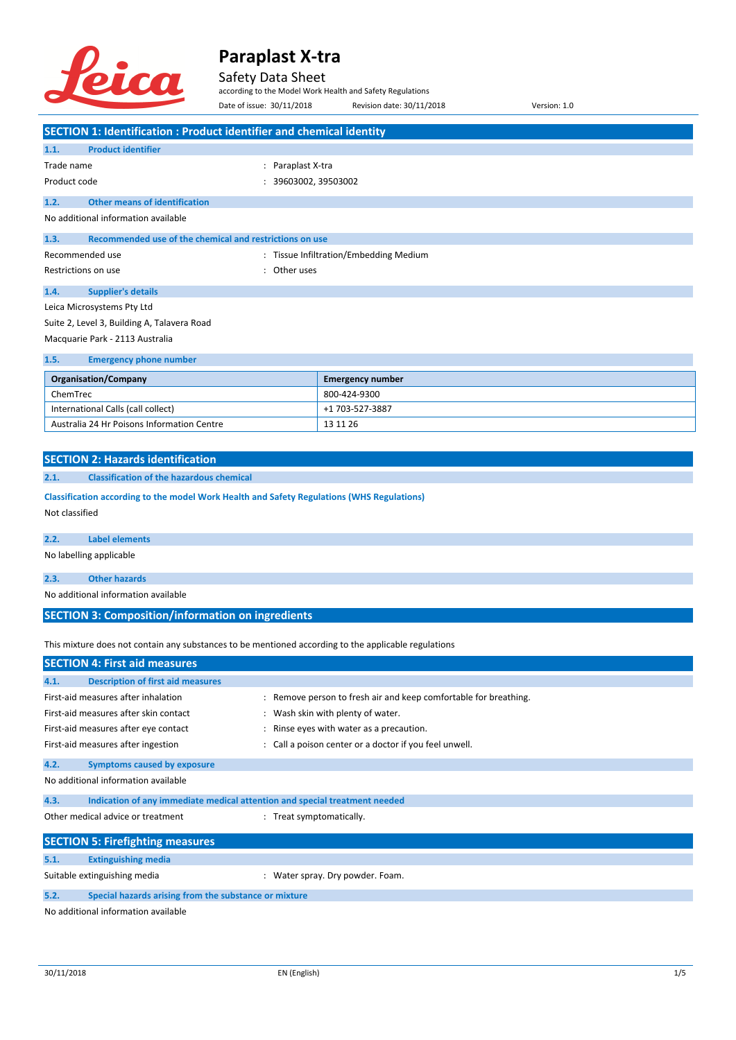

#### Safety Data Sheet

according to the Model Work Health and Safety Regulations

|                                                                                                      | Date of issue: 30/11/2018 | Revision date: 30/11/2018                                        | Version: 1.0 |
|------------------------------------------------------------------------------------------------------|---------------------------|------------------------------------------------------------------|--------------|
| <b>SECTION 1: Identification : Product identifier and chemical identity</b>                          |                           |                                                                  |              |
| <b>Product identifier</b><br>1.1.                                                                    |                           |                                                                  |              |
| Trade name                                                                                           | : Paraplast X-tra         |                                                                  |              |
| Product code                                                                                         | 39603002, 39503002        |                                                                  |              |
|                                                                                                      |                           |                                                                  |              |
| <b>Other means of identification</b><br>1.2.                                                         |                           |                                                                  |              |
| No additional information available                                                                  |                           |                                                                  |              |
| Recommended use of the chemical and restrictions on use<br>1.3.                                      |                           |                                                                  |              |
| Recommended use                                                                                      |                           | : Tissue Infiltration/Embedding Medium                           |              |
| Restrictions on use                                                                                  | Other uses                |                                                                  |              |
| 1.4.<br><b>Supplier's details</b>                                                                    |                           |                                                                  |              |
| Leica Microsystems Pty Ltd                                                                           |                           |                                                                  |              |
| Suite 2, Level 3, Building A, Talavera Road                                                          |                           |                                                                  |              |
| Macquarie Park - 2113 Australia                                                                      |                           |                                                                  |              |
| 1.5.<br><b>Emergency phone number</b>                                                                |                           |                                                                  |              |
| <b>Organisation/Company</b>                                                                          |                           | <b>Emergency number</b>                                          |              |
| ChemTrec                                                                                             |                           | 800-424-9300                                                     |              |
| International Calls (call collect)                                                                   |                           | +1 703-527-3887                                                  |              |
| Australia 24 Hr Poisons Information Centre                                                           |                           | 13 11 26                                                         |              |
|                                                                                                      |                           |                                                                  |              |
| <b>SECTION 2: Hazards identification</b>                                                             |                           |                                                                  |              |
| <b>Classification of the hazardous chemical</b><br>2.1.                                              |                           |                                                                  |              |
|                                                                                                      |                           |                                                                  |              |
| Classification according to the model Work Health and Safety Regulations (WHS Regulations)           |                           |                                                                  |              |
| Not classified                                                                                       |                           |                                                                  |              |
| 2.2.<br>Label elements                                                                               |                           |                                                                  |              |
| No labelling applicable                                                                              |                           |                                                                  |              |
|                                                                                                      |                           |                                                                  |              |
| <b>Other hazards</b><br>2.3.                                                                         |                           |                                                                  |              |
| No additional information available                                                                  |                           |                                                                  |              |
| <b>SECTION 3: Composition/information on ingredients</b>                                             |                           |                                                                  |              |
| This mixture does not contain any substances to be mentioned according to the applicable regulations |                           |                                                                  |              |
|                                                                                                      |                           |                                                                  |              |
| <b>SECTION 4: First aid measures</b>                                                                 |                           |                                                                  |              |
| <b>Description of first aid measures</b><br>4.1.                                                     |                           |                                                                  |              |
| First-aid measures after inhalation                                                                  |                           | : Remove person to fresh air and keep comfortable for breathing. |              |
| First-aid measures after skin contact                                                                | ÷                         | Wash skin with plenty of water.                                  |              |
| First-aid measures after eye contact                                                                 |                           | Rinse eyes with water as a precaution.                           |              |
| First-aid measures after ingestion                                                                   |                           | Call a poison center or a doctor if you feel unwell.             |              |
| <b>Symptoms caused by exposure</b><br>4.2.                                                           |                           |                                                                  |              |
| No additional information available                                                                  |                           |                                                                  |              |
| 4.3.<br>Indication of any immediate medical attention and special treatment needed                   |                           |                                                                  |              |
| Other medical advice or treatment                                                                    | : Treat symptomatically.  |                                                                  |              |
| <b>SECTION 5: Firefighting measures</b>                                                              |                           |                                                                  |              |
| 5.1.<br><b>Extinguishing media</b>                                                                   |                           |                                                                  |              |
| Suitable extinguishing media                                                                         |                           | : Water spray. Dry powder. Foam.                                 |              |
|                                                                                                      |                           |                                                                  |              |
| 5.2.<br>Special hazards arising from the substance or mixture                                        |                           |                                                                  |              |
| No additional information available                                                                  |                           |                                                                  |              |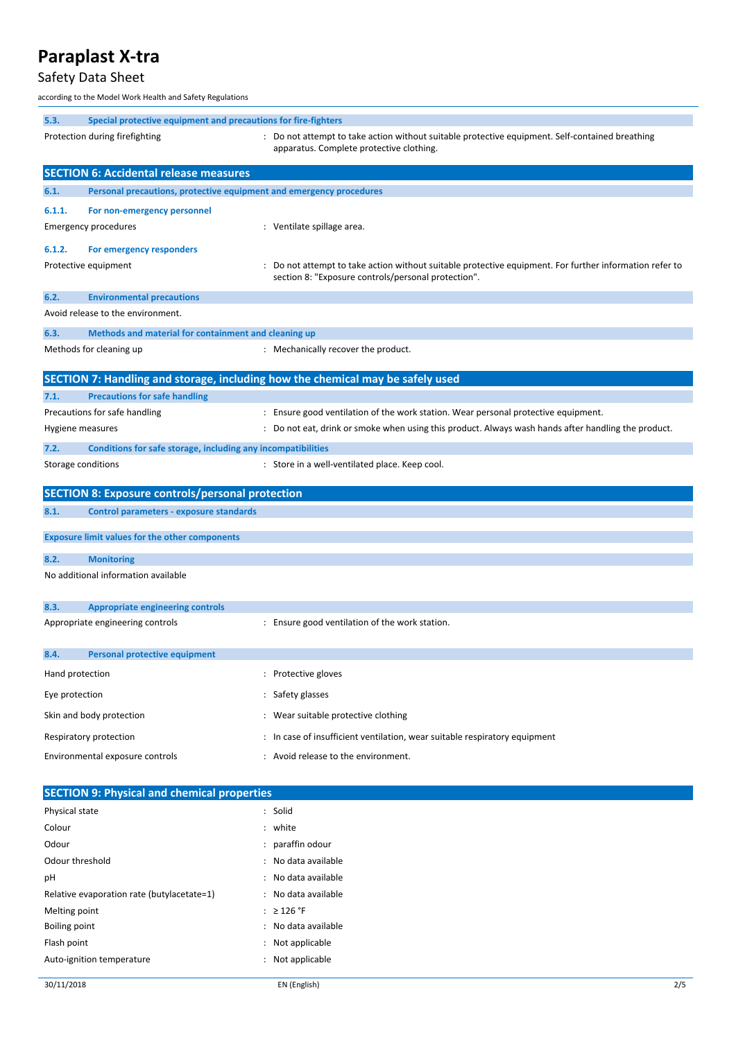### Safety Data Sheet

according to the Model Work Health and Safety Regulations

| 5.3.<br>Special protective equipment and precautions for fire-fighters      |                                                                                                       |
|-----------------------------------------------------------------------------|-------------------------------------------------------------------------------------------------------|
| Protection during firefighting                                              | : Do not attempt to take action without suitable protective equipment. Self-contained breathing       |
|                                                                             | apparatus. Complete protective clothing.                                                              |
| <b>SECTION 6: Accidental release measures</b>                               |                                                                                                       |
|                                                                             |                                                                                                       |
| 6.1.<br>Personal precautions, protective equipment and emergency procedures |                                                                                                       |
| 6.1.1.<br>For non-emergency personnel                                       |                                                                                                       |
| <b>Emergency procedures</b>                                                 | : Ventilate spillage area.                                                                            |
| 6.1.2.<br>For emergency responders                                          |                                                                                                       |
| Protective equipment                                                        | Do not attempt to take action without suitable protective equipment. For further information refer to |
|                                                                             | section 8: "Exposure controls/personal protection".                                                   |
| 6.2.<br><b>Environmental precautions</b>                                    |                                                                                                       |
| Avoid release to the environment.                                           |                                                                                                       |
| 6.3.<br>Methods and material for containment and cleaning up                |                                                                                                       |
| Methods for cleaning up                                                     | : Mechanically recover the product.                                                                   |
|                                                                             |                                                                                                       |
|                                                                             | SECTION 7: Handling and storage, including how the chemical may be safely used                        |
| 7.1.<br><b>Precautions for safe handling</b>                                |                                                                                                       |
| Precautions for safe handling                                               | : Ensure good ventilation of the work station. Wear personal protective equipment.                    |
| Hygiene measures                                                            | : Do not eat, drink or smoke when using this product. Always wash hands after handling the product.   |
| 7.2.<br>Conditions for safe storage, including any incompatibilities        |                                                                                                       |
| Storage conditions                                                          | : Store in a well-ventilated place. Keep cool.                                                        |
|                                                                             |                                                                                                       |
| <b>SECTION 8: Exposure controls/personal protection</b>                     |                                                                                                       |
| 8.1.<br><b>Control parameters - exposure standards</b>                      |                                                                                                       |
| <b>Exposure limit values for the other components</b>                       |                                                                                                       |
|                                                                             |                                                                                                       |
| 8.2.<br><b>Monitoring</b><br>No additional information available            |                                                                                                       |
|                                                                             |                                                                                                       |
| 8.3.<br><b>Appropriate engineering controls</b>                             |                                                                                                       |
| Appropriate engineering controls                                            | : Ensure good ventilation of the work station.                                                        |
|                                                                             |                                                                                                       |
| 8.4.<br><b>Personal protective equipment</b>                                |                                                                                                       |
| Hand protection                                                             | : Protective gloves                                                                                   |
| Eye protection                                                              | : Safety glasses                                                                                      |
|                                                                             |                                                                                                       |
| Skin and body protection                                                    | Wear suitable protective clothing                                                                     |
| Respiratory protection                                                      | : In case of insufficient ventilation, wear suitable respiratory equipment                            |
| Environmental exposure controls                                             | Avoid release to the environment.                                                                     |
|                                                                             |                                                                                                       |
| <b>SECTION 9: Physical and chemical properties</b>                          |                                                                                                       |
| Physical state                                                              | : Solid                                                                                               |
| Colour                                                                      | white                                                                                                 |
| Odour                                                                       | paraffin odour                                                                                        |
| Odour threshold                                                             | No data available                                                                                     |
| рH                                                                          | No data available                                                                                     |
| Relative evaporation rate (butylacetate=1)                                  | No data available                                                                                     |
| Melting point                                                               | : $\geq$ 126 °F                                                                                       |
|                                                                             |                                                                                                       |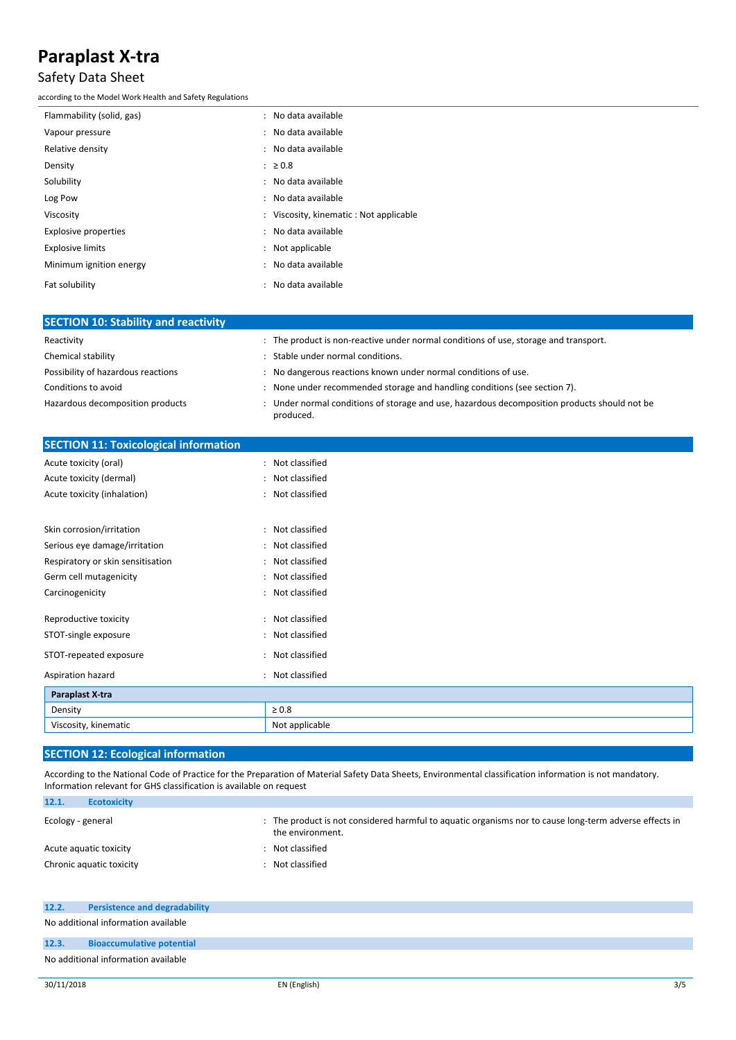## Safety Data Sheet

according to the Model Work Health and Safety Regulations

| Flammability (solid, gas)   | : No data available                            |
|-----------------------------|------------------------------------------------|
| Vapour pressure             | : No data available                            |
| Relative density            | : No data available                            |
| Density                     | $\therefore$ 20.8                              |
| Solubility                  | : No data available                            |
| Log Pow                     | : No data available                            |
| Viscosity                   | : Viscosity, kinematic : Not applicable        |
| <b>Explosive properties</b> | : No data available                            |
| <b>Explosive limits</b>     | : Not applicable                               |
| Minimum ignition energy     | : No data available                            |
| Fat solubility              | No data available<br>$\mathbb{R}^{\mathbb{Z}}$ |

| <b>SECTION 10: Stability and reactivity</b> |                                                                                                           |
|---------------------------------------------|-----------------------------------------------------------------------------------------------------------|
| Reactivity                                  | : The product is non-reactive under normal conditions of use, storage and transport.                      |
| Chemical stability                          | Stable under normal conditions.                                                                           |
| Possibility of hazardous reactions          | : No dangerous reactions known under normal conditions of use.                                            |
| Conditions to avoid                         | : None under recommended storage and handling conditions (see section 7).                                 |
| Hazardous decomposition products            | : Under normal conditions of storage and use, hazardous decomposition products should not be<br>produced. |

| <b>SECTION 11: Toxicological information</b> |                  |
|----------------------------------------------|------------------|
| Acute toxicity (oral)                        | : Not classified |
| Acute toxicity (dermal)                      | : Not classified |
| Acute toxicity (inhalation)                  | : Not classified |
|                                              |                  |
| Skin corrosion/irritation                    | : Not classified |
| Serious eye damage/irritation                | : Not classified |
| Respiratory or skin sensitisation            | : Not classified |
| Germ cell mutagenicity                       | : Not classified |
| Carcinogenicity                              | : Not classified |
|                                              | : Not classified |
| Reproductive toxicity                        |                  |
| STOT-single exposure                         | : Not classified |
| STOT-repeated exposure                       | : Not classified |
| Aspiration hazard                            | : Not classified |
| Paraplast X-tra                              |                  |
| Density                                      | $\geq 0.8$       |
| Viscosity, kinematic                         | Not applicable   |

#### **SECTION 12: Ecological information**

According to the National Code of Practice for the Preparation of Material Safety Data Sheets, Environmental classification information is not mandatory. Information relevant for GHS classification is available on request

| 12.1.             | <b>Ecotoxicity</b>       |                                                                                                                          |
|-------------------|--------------------------|--------------------------------------------------------------------------------------------------------------------------|
| Ecology - general |                          | The product is not considered harmful to aquatic organisms nor to cause long-term adverse effects in<br>the environment. |
|                   | Acute aguatic toxicity   | Not classified                                                                                                           |
|                   | Chronic aquatic toxicity | Not classified                                                                                                           |

| No additional information available<br>12.3.<br><b>Bioaccumulative potential</b><br>No additional information available | 12.2. | <b>Persistence and degradability</b> |  |  |
|-------------------------------------------------------------------------------------------------------------------------|-------|--------------------------------------|--|--|
|                                                                                                                         |       |                                      |  |  |
|                                                                                                                         |       |                                      |  |  |
|                                                                                                                         |       |                                      |  |  |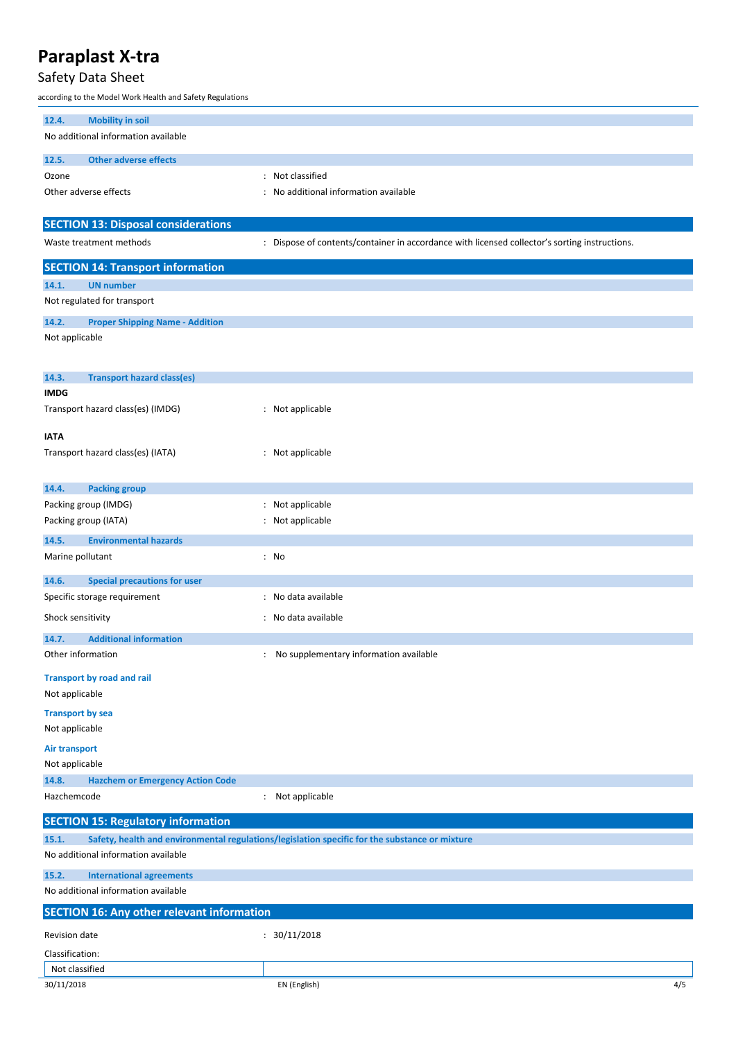## Safety Data Sheet

according to the Model Work Health and Safety Regulations

| 12.4.                   | <b>Mobility in soil</b><br>No additional information available |                                                                                                |     |
|-------------------------|----------------------------------------------------------------|------------------------------------------------------------------------------------------------|-----|
|                         |                                                                |                                                                                                |     |
| 12.5.                   | <b>Other adverse effects</b>                                   |                                                                                                |     |
| Ozone                   |                                                                | : Not classified                                                                               |     |
|                         | Other adverse effects                                          | : No additional information available                                                          |     |
|                         |                                                                |                                                                                                |     |
|                         | <b>SECTION 13: Disposal considerations</b>                     |                                                                                                |     |
|                         |                                                                |                                                                                                |     |
|                         | Waste treatment methods                                        | : Dispose of contents/container in accordance with licensed collector's sorting instructions.  |     |
|                         | <b>SECTION 14: Transport information</b>                       |                                                                                                |     |
| 14.1.                   | <b>UN number</b>                                               |                                                                                                |     |
|                         | Not regulated for transport                                    |                                                                                                |     |
|                         |                                                                |                                                                                                |     |
| 14.2.                   | <b>Proper Shipping Name - Addition</b>                         |                                                                                                |     |
| Not applicable          |                                                                |                                                                                                |     |
|                         |                                                                |                                                                                                |     |
| 14.3.                   | <b>Transport hazard class(es)</b>                              |                                                                                                |     |
| <b>IMDG</b>             |                                                                |                                                                                                |     |
|                         | Transport hazard class(es) (IMDG)                              | : Not applicable                                                                               |     |
|                         |                                                                |                                                                                                |     |
| <b>IATA</b>             |                                                                |                                                                                                |     |
|                         | Transport hazard class(es) (IATA)                              | : Not applicable                                                                               |     |
|                         |                                                                |                                                                                                |     |
|                         |                                                                |                                                                                                |     |
| 14.4.                   | <b>Packing group</b>                                           |                                                                                                |     |
|                         | Packing group (IMDG)                                           | : Not applicable                                                                               |     |
|                         | Packing group (IATA)                                           | : Not applicable                                                                               |     |
| 14.5.                   | <b>Environmental hazards</b>                                   |                                                                                                |     |
| Marine pollutant        |                                                                | : No                                                                                           |     |
|                         |                                                                |                                                                                                |     |
| 14.6.                   | <b>Special precautions for user</b>                            |                                                                                                |     |
|                         | Specific storage requirement                                   | : No data available                                                                            |     |
| Shock sensitivity       |                                                                | : No data available                                                                            |     |
| 14.7.                   | <b>Additional information</b>                                  |                                                                                                |     |
| Other information       |                                                                | : No supplementary information available                                                       |     |
|                         |                                                                |                                                                                                |     |
|                         | <b>Transport by road and rail</b>                              |                                                                                                |     |
| Not applicable          |                                                                |                                                                                                |     |
| <b>Transport by sea</b> |                                                                |                                                                                                |     |
| Not applicable          |                                                                |                                                                                                |     |
|                         |                                                                |                                                                                                |     |
| Air transport           |                                                                |                                                                                                |     |
| Not applicable          |                                                                |                                                                                                |     |
| 14.8.                   | <b>Hazchem or Emergency Action Code</b>                        |                                                                                                |     |
| Hazchemcode             |                                                                | : Not applicable                                                                               |     |
|                         | <b>SECTION 15: Regulatory information</b>                      |                                                                                                |     |
|                         |                                                                |                                                                                                |     |
| 15.1.                   |                                                                | Safety, health and environmental regulations/legislation specific for the substance or mixture |     |
|                         | No additional information available                            |                                                                                                |     |
| 15.2.                   | <b>International agreements</b>                                |                                                                                                |     |
|                         | No additional information available                            |                                                                                                |     |
|                         | <b>SECTION 16: Any other relevant information</b>              |                                                                                                |     |
|                         |                                                                |                                                                                                |     |
| Revision date           |                                                                | : 30/11/2018                                                                                   |     |
| Classification:         |                                                                |                                                                                                |     |
| Not classified          |                                                                |                                                                                                |     |
| 30/11/2018              |                                                                | EN (English)                                                                                   | 4/5 |